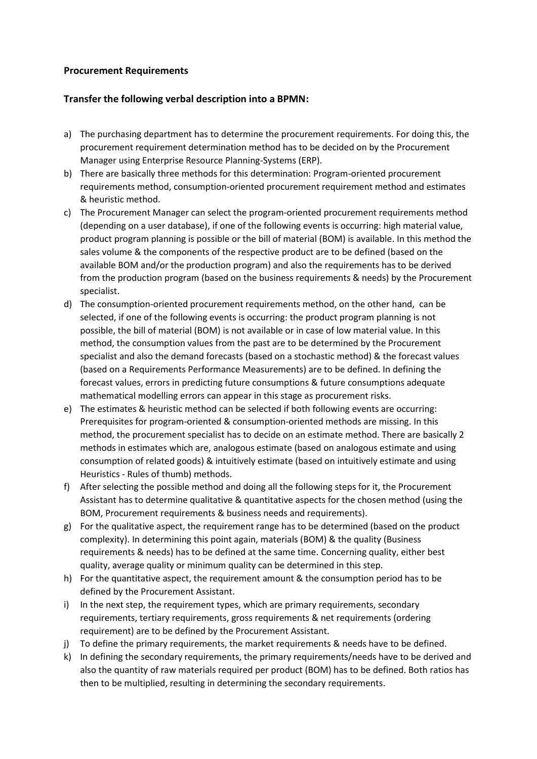## **Procurement Requirements**

## **Transfer the following verbal description into a BPMN:**

- a) The purchasing department has to determine the procurement requirements. For doing this, the procurement requirement determination method has to be decided on by the Procurement Manager using Enterprise Resource Planning-Systems (ERP).
- b) There are basically three methods for this determination: Program-oriented procurement requirements method, consumption-oriented procurement requirement method and estimates & heuristic method.
- c) The Procurement Manager can select the program-oriented procurement requirements method (depending on a user database), if one of the following events is occurring: high material value, product program planning is possible or the bill of material (BOM) is available. In this method the sales volume & the components of the respective product are to be defined (based on the available BOM and/or the production program) and also the requirements has to be derived from the production program (based on the business requirements & needs) by the Procurement specialist.
- d) The consumption-oriented procurement requirements method, on the other hand, can be selected, if one of the following events is occurring: the product program planning is not possible, the bill of material (BOM) is not available or in case of low material value. In this method, the consumption values from the past are to be determined by the Procurement specialist and also the demand forecasts (based on a stochastic method) & the forecast values (based on a Requirements Performance Measurements) are to be defined. In defining the forecast values, errors in predicting future consumptions & future consumptions adequate mathematical modelling errors can appear in this stage as procurement risks.
- e) The estimates & heuristic method can be selected if both following events are occurring: Prerequisites for program-oriented & consumption-oriented methods are missing. In this method, the procurement specialist has to decide on an estimate method. There are basically 2 methods in estimates which are, analogous estimate (based on analogous estimate and using consumption of related goods) & intuitively estimate (based on intuitively estimate and using Heuristics - Rules of thumb) methods.
- f) After selecting the possible method and doing all the following steps for it, the Procurement Assistant has to determine qualitative & quantitative aspects for the chosen method (using the BOM, Procurement requirements & business needs and requirements).
- g) For the qualitative aspect, the requirement range has to be determined (based on the product complexity). In determining this point again, materials (BOM) & the quality (Business requirements & needs) has to be defined at the same time. Concerning quality, either best quality, average quality or minimum quality can be determined in this step.
- h) For the quantitative aspect, the requirement amount & the consumption period has to be defined by the Procurement Assistant.
- i) In the next step, the requirement types, which are primary requirements, secondary requirements, tertiary requirements, gross requirements & net requirements (ordering requirement) are to be defined by the Procurement Assistant.
- j) To define the primary requirements, the market requirements & needs have to be defined.
- k) In defining the secondary requirements, the primary requirements/needs have to be derived and also the quantity of raw materials required per product (BOM) has to be defined. Both ratios has then to be multiplied, resulting in determining the secondary requirements.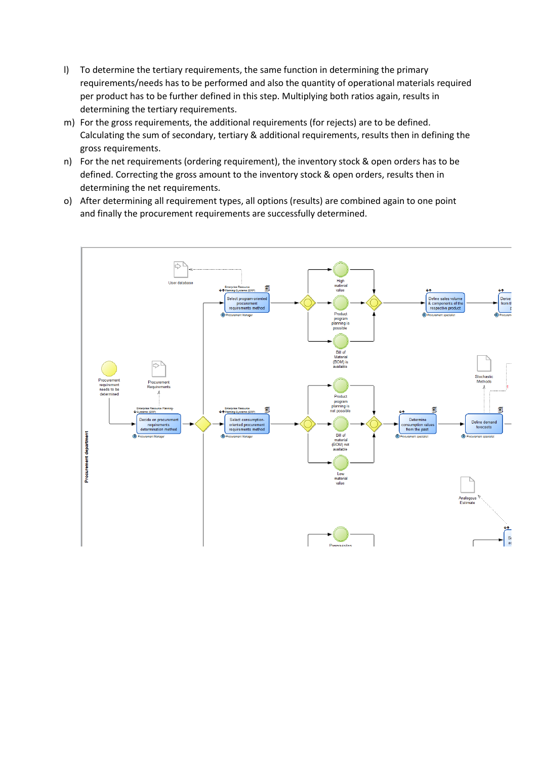- l) To determine the tertiary requirements, the same function in determining the primary requirements/needs has to be performed and also the quantity of operational materials required per product has to be further defined in this step. Multiplying both ratios again, results in determining the tertiary requirements.
- m) For the gross requirements, the additional requirements (for rejects) are to be defined. Calculating the sum of secondary, tertiary & additional requirements, results then in defining the gross requirements.
- n) For the net requirements (ordering requirement), the inventory stock & open orders has to be defined. Correcting the gross amount to the inventory stock & open orders, results then in determining the net requirements.
- o) After determining all requirement types, all options (results) are combined again to one point and finally the procurement requirements are successfully determined.

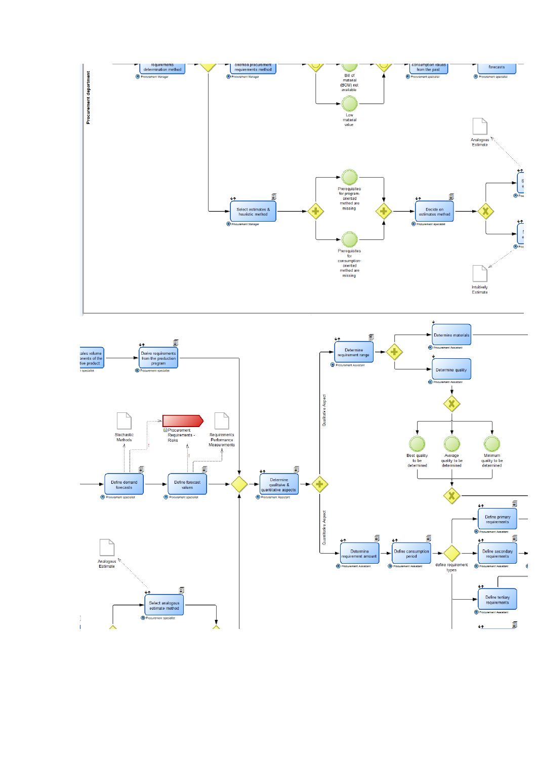

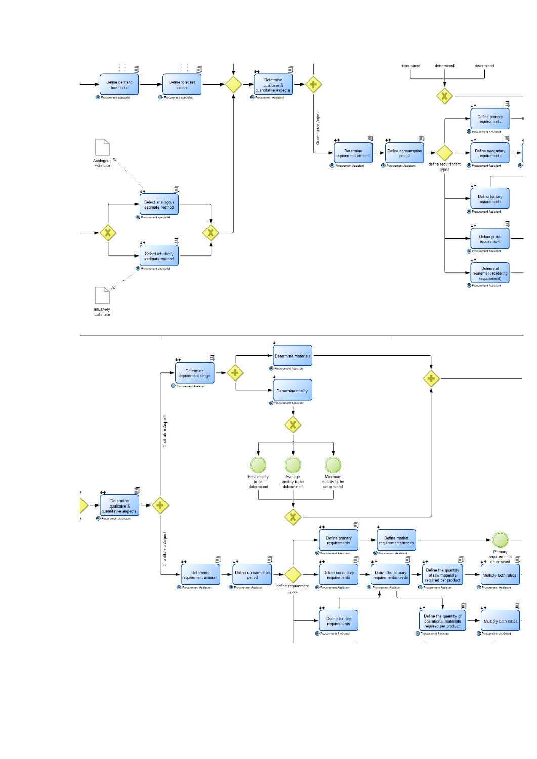

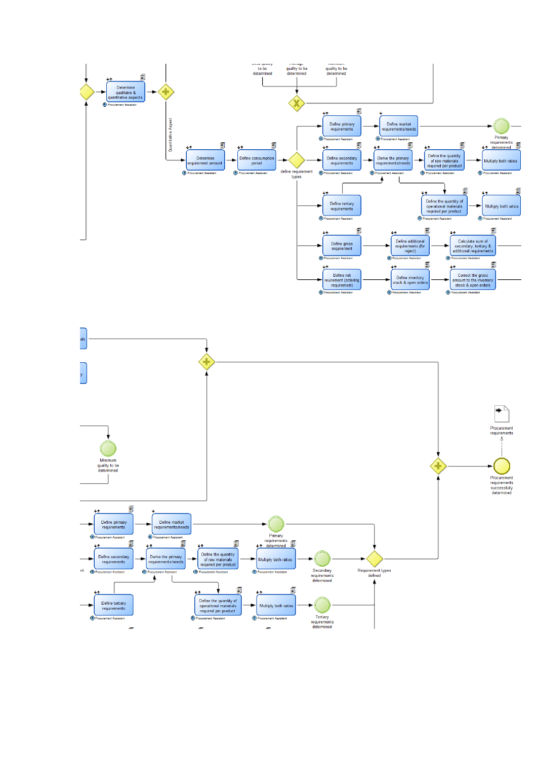